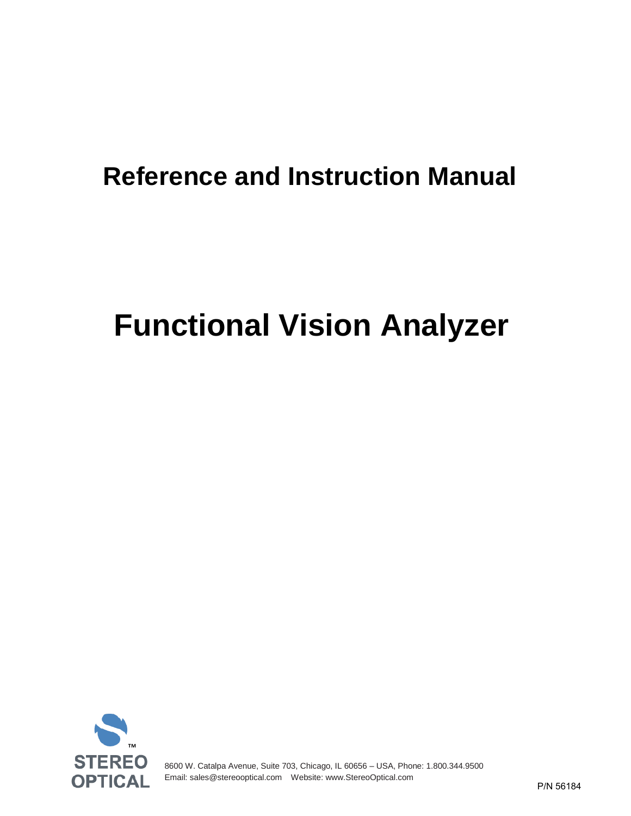## **Reference and Instruction Manual**

# **Functional Vision Analyzer**



8600 W. Catalpa Avenue, Suite 703, Chicago, IL 60656 – USA, Phone: 1.800.344.9500 Email[: sales@stereooptical.com](mailto:sales@stereooptical.com) Website: [www.StereoOptical.com](http://www.stereooptical.com/)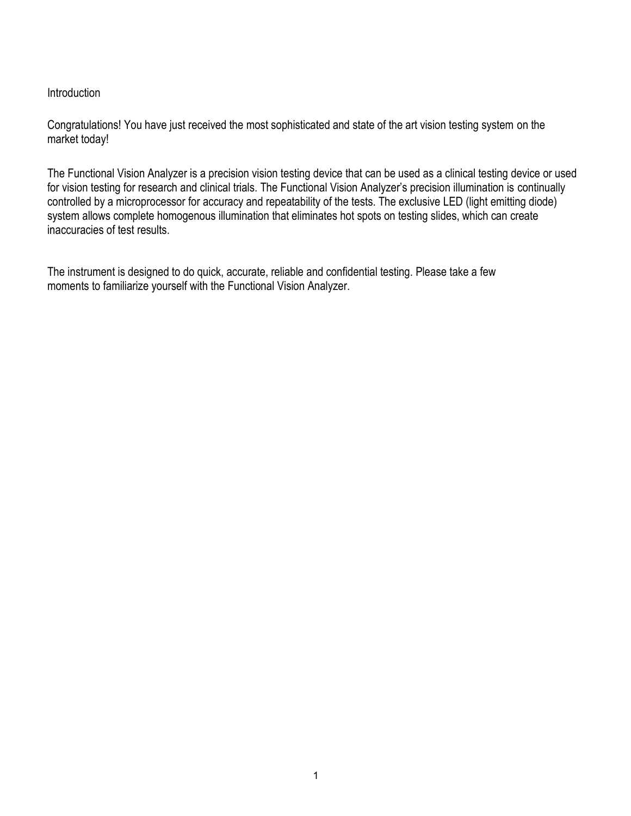#### **Introduction**

Congratulations! You have just received the most sophisticated and state of the art vision testing system on the market today!

The Functional Vision Analyzer is a precision vision testing device that can be used as a clinical testing device or used for vision testing for research and clinical trials. The Functional Vision Analyzer's precision illumination is continually controlled by a microprocessor for accuracy and repeatability of the tests. The exclusive LED (light emitting diode) system allows complete homogenous illumination that eliminates hot spots on testing slides, which can create inaccuracies of test results.

The instrument is designed to do quick, accurate, reliable and confidential testing. Please take a few moments to familiarize yourself with the Functional Vision Analyzer.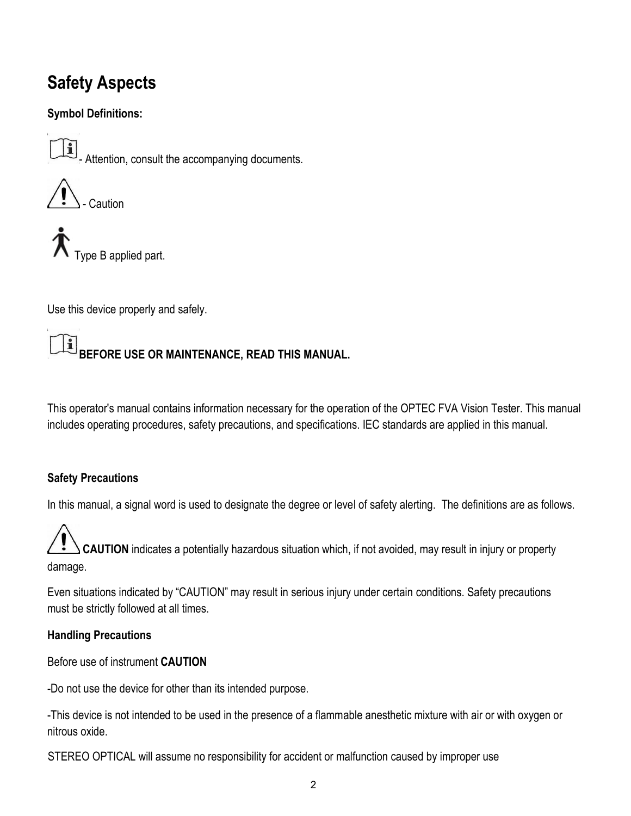### **Safety Aspects**

#### **Symbol Definitions:**

 $\boxed{\mathbf{1}}$  - Attention, consult the accompanying documents.



Type B applied part.

Use this device properly and safely.

#### $\mathbf{i}$ **BEFORE USE OR MAINTENANCE, READ THIS MANUAL.**

This operator's manual contains information necessary for the operation of the OPTEC FVA Vision Tester. This manual includes operating procedures, safety precautions, and specifications. IEC standards are applied in this manual.

#### **Safety Precautions**

In this manual, a signal word is used to designate the degree or level of safety alerting. The definitions are as follows.

 **CAUTION** indicates a potentially hazardous situation which, if not avoided, may result in injury or property damage.

Even situations indicated by "CAUTION" may result in serious injury under certain conditions. Safety precautions must be strictly followed at all times.

#### **Handling Precautions**

Before use of instrument **CAUTION** 

-Do not use the device for other than its intended purpose.

-This device is not intended to be used in the presence of a flammable anesthetic mixture with air or with oxygen or nitrous oxide.

STEREO OPTICAL will assume no responsibility for accident or malfunction caused by improper use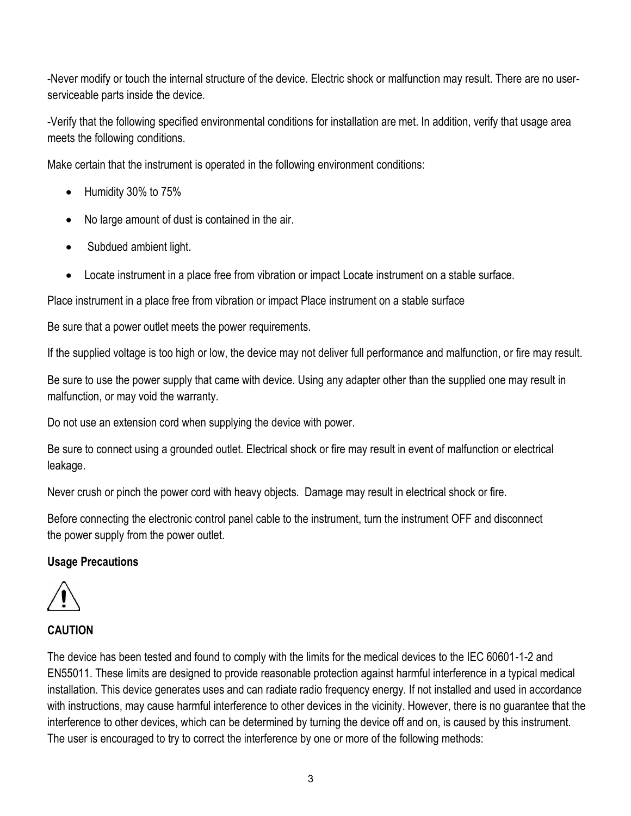-Never modify or touch the internal structure of the device. Electric shock or malfunction may result. There are no userserviceable parts inside the device.

-Verify that the following specified environmental conditions for installation are met. In addition, verify that usage area meets the following conditions.

Make certain that the instrument is operated in the following environment conditions:

- Humidity 30% to 75%
- No large amount of dust is contained in the air.
- Subdued ambient light.
- Locate instrument in a place free from vibration or impact Locate instrument on a stable surface.

Place instrument in a place free from vibration or impact Place instrument on a stable surface

Be sure that a power outlet meets the power requirements.

If the supplied voltage is too high or low, the device may not deliver full performance and malfunction, or fire may result.

Be sure to use the power supply that came with device. Using any adapter other than the supplied one may result in malfunction, or may void the warranty.

Do not use an extension cord when supplying the device with power.

Be sure to connect using a grounded outlet. Electrical shock or fire may result in event of malfunction or electrical leakage.

Never crush or pinch the power cord with heavy objects. Damage may result in electrical shock or fire.

Before connecting the electronic control panel cable to the instrument, turn the instrument OFF and disconnect the power supply from the power outlet.

#### **Usage Precautions**



#### **CAUTION**

The device has been tested and found to comply with the limits for the medical devices to the IEC 60601-1-2 and EN55011. These limits are designed to provide reasonable protection against harmful interference in a typical medical installation. This device generates uses and can radiate radio frequency energy. If not installed and used in accordance with instructions, may cause harmful interference to other devices in the vicinity. However, there is no guarantee that the interference to other devices, which can be determined by turning the device off and on, is caused by this instrument. The user is encouraged to try to correct the interference by one or more of the following methods: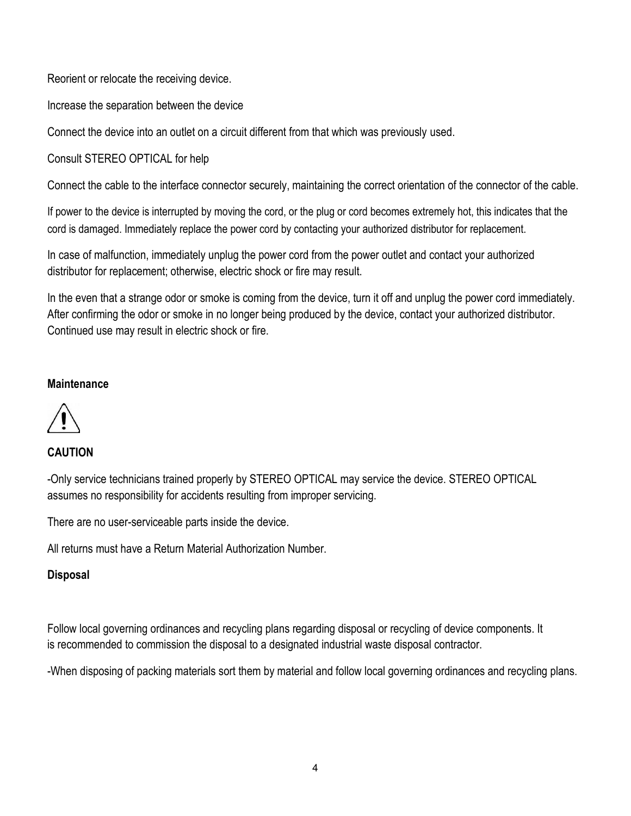Reorient or relocate the receiving device.

Increase the separation between the device

Connect the device into an outlet on a circuit different from that which was previously used.

Consult STEREO OPTICAL for help

Connect the cable to the interface connector securely, maintaining the correct orientation of the connector of the cable.

If power to the device is interrupted by moving the cord, or the plug or cord becomes extremely hot, this indicates that the cord is damaged. Immediately replace the power cord by contacting your authorized distributor for replacement.

In case of malfunction, immediately unplug the power cord from the power outlet and contact your authorized distributor for replacement; otherwise, electric shock or fire may result.

In the even that a strange odor or smoke is coming from the device, turn it off and unplug the power cord immediately. After confirming the odor or smoke in no longer being produced by the device, contact your authorized distributor. Continued use may result in electric shock or fire.

#### **Maintenance**



#### **CAUTION**

-Only service technicians trained properly by STEREO OPTICAL may service the device. STEREO OPTICAL assumes no responsibility for accidents resulting from improper servicing.

There are no user-serviceable parts inside the device.

All returns must have a Return Material Authorization Number.

#### **Disposal**

Follow local governing ordinances and recycling plans regarding disposal or recycling of device components. It is recommended to commission the disposal to a designated industrial waste disposal contractor.

-When disposing of packing materials sort them by material and follow local governing ordinances and recycling plans.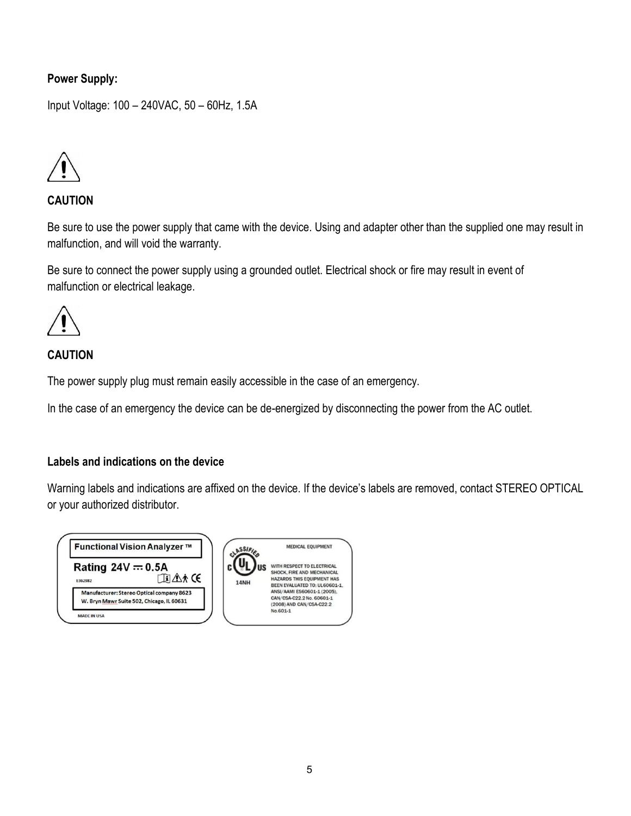#### **Power Supply:**

Input Voltage: 100 – 240VAC, 50 – 60Hz, 1.5A



#### **CAUTION**

Be sure to use the power supply that came with the device. Using and adapter other than the supplied one may result in malfunction, and will void the warranty.

Be sure to connect the power supply using a grounded outlet. Electrical shock or fire may result in event of malfunction or electrical leakage.



#### **CAUTION**

The power supply plug must remain easily accessible in the case of an emergency.

In the case of an emergency the device can be de-energized by disconnecting the power from the AC outlet.

#### **Labels and indications on the device**

Warning labels and indications are affixed on the device. If the device's labels are removed, contact STEREO OPTICAL or your authorized distributor.

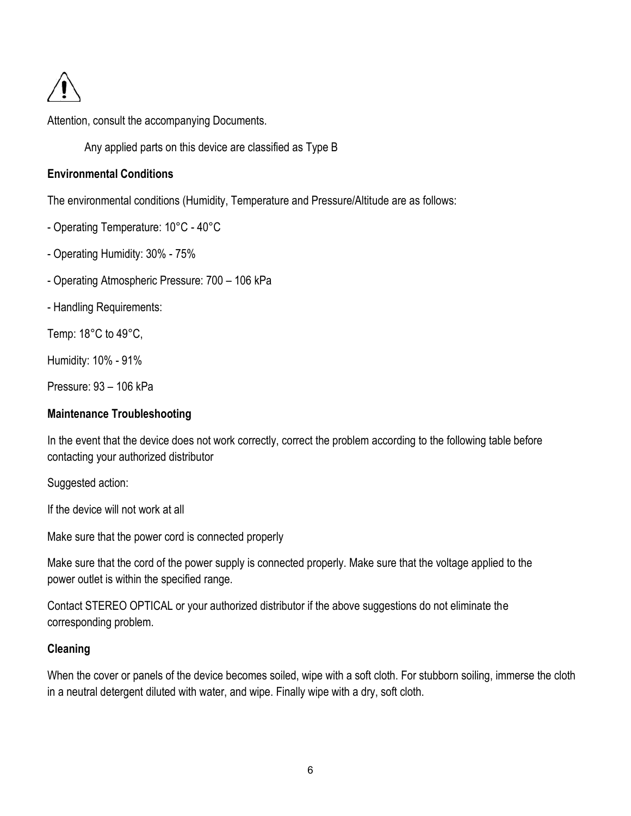

Attention, consult the accompanying Documents.

Any applied parts on this device are classified as Type B

#### **Environmental Conditions**

The environmental conditions (Humidity, Temperature and Pressure/Altitude are as follows:

- Operating Temperature: 10°C 40°C
- Operating Humidity: 30% 75%
- Operating Atmospheric Pressure: 700 106 kPa
- Handling Requirements:

Temp: 18°C to 49°C,

Humidity: 10% - 91%

Pressure: 93 – 106 kPa

#### **Maintenance Troubleshooting**

In the event that the device does not work correctly, correct the problem according to the following table before contacting your authorized distributor

Suggested action:

If the device will not work at all

Make sure that the power cord is connected properly

Make sure that the cord of the power supply is connected properly. Make sure that the voltage applied to the power outlet is within the specified range.

Contact STEREO OPTICAL or your authorized distributor if the above suggestions do not eliminate the corresponding problem.

#### **Cleaning**

When the cover or panels of the device becomes soiled, wipe with a soft cloth. For stubborn soiling, immerse the cloth in a neutral detergent diluted with water, and wipe. Finally wipe with a dry, soft cloth.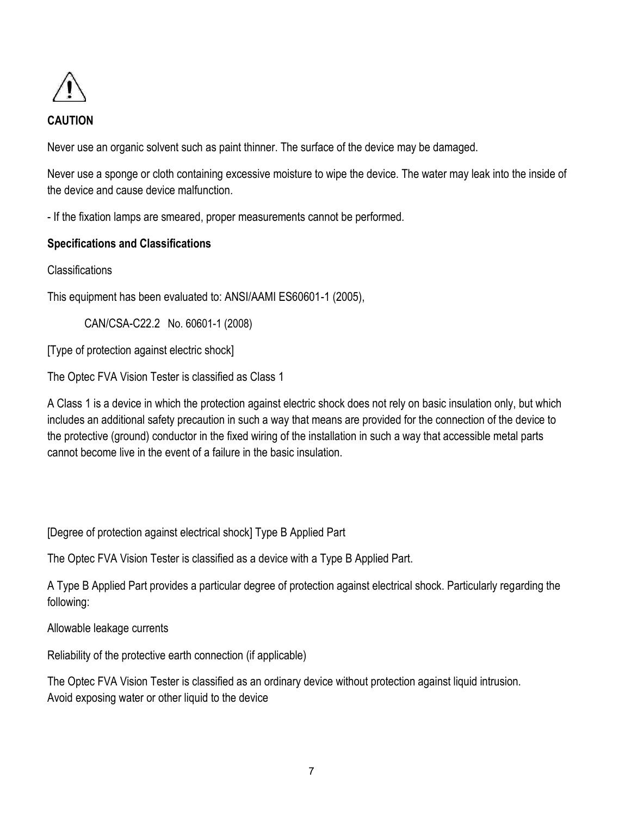

#### **CAUTION**

Never use an organic solvent such as paint thinner. The surface of the device may be damaged.

Never use a sponge or cloth containing excessive moisture to wipe the device. The water may leak into the inside of the device and cause device malfunction.

- If the fixation lamps are smeared, proper measurements cannot be performed.

#### **Specifications and Classifications**

```
Classifications
```
This equipment has been evaluated to: ANSI/AAMI ES60601-1 (2005),

CAN/CSA-C22.2 No. 60601-1 (2008)

[Type of protection against electric shock]

The Optec FVA Vision Tester is classified as Class 1

A Class 1 is a device in which the protection against electric shock does not rely on basic insulation only, but which includes an additional safety precaution in such a way that means are provided for the connection of the device to the protective (ground) conductor in the fixed wiring of the installation in such a way that accessible metal parts cannot become live in the event of a failure in the basic insulation.

[Degree of protection against electrical shock] Type B Applied Part

The Optec FVA Vision Tester is classified as a device with a Type B Applied Part.

A Type B Applied Part provides a particular degree of protection against electrical shock. Particularly regarding the following:

Allowable leakage currents

Reliability of the protective earth connection (if applicable)

The Optec FVA Vision Tester is classified as an ordinary device without protection against liquid intrusion. Avoid exposing water or other liquid to the device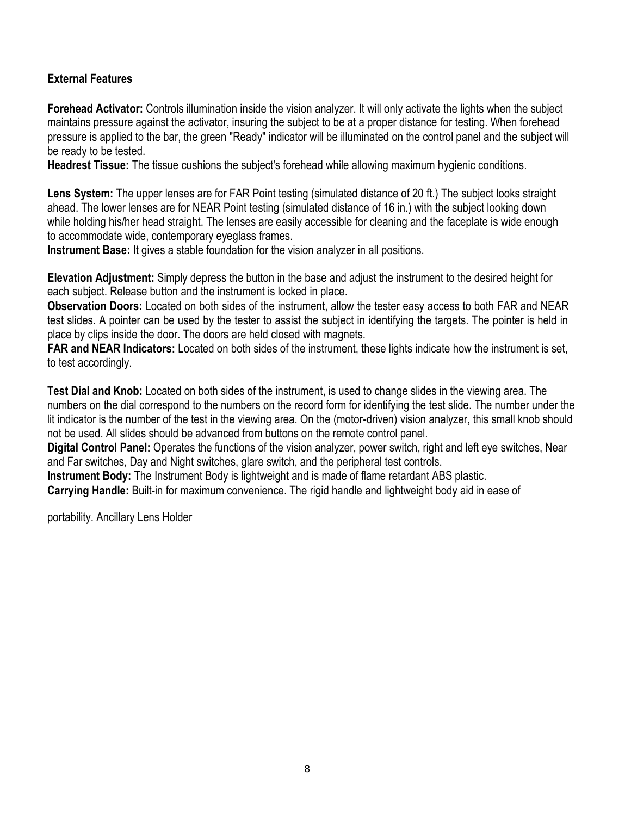#### **External Features**

**Forehead Activator:** Controls illumination inside the vision analyzer. It will only activate the lights when the subject maintains pressure against the activator, insuring the subject to be at a proper distance for testing. When forehead pressure is applied to the bar, the green "Ready" indicator will be illuminated on the control panel and the subject will be ready to be tested.

**Headrest Tissue:** The tissue cushions the subject's forehead while allowing maximum hygienic conditions.

**Lens System:** The upper lenses are for FAR Point testing (simulated distance of 20 ft.) The subject looks straight ahead. The lower lenses are for NEAR Point testing (simulated distance of 16 in.) with the subject looking down while holding his/her head straight. The lenses are easily accessible for cleaning and the faceplate is wide enough to accommodate wide, contemporary eyeglass frames.

**Instrument Base:** It gives a stable foundation for the vision analyzer in all positions.

**Elevation Adjustment:** Simply depress the button in the base and adjust the instrument to the desired height for each subject. Release button and the instrument is locked in place.

**Observation Doors:** Located on both sides of the instrument, allow the tester easy access to both FAR and NEAR test slides. A pointer can be used by the tester to assist the subject in identifying the targets. The pointer is held in place by clips inside the door. The doors are held closed with magnets.

**FAR and NEAR Indicators:** Located on both sides of the instrument, these lights indicate how the instrument is set, to test accordingly.

**Test Dial and Knob:** Located on both sides of the instrument, is used to change slides in the viewing area. The numbers on the dial correspond to the numbers on the record form for identifying the test slide. The number under the lit indicator is the number of the test in the viewing area. On the (motor-driven) vision analyzer, this small knob should not be used. All slides should be advanced from buttons on the remote control panel.

**Digital Control Panel:** Operates the functions of the vision analyzer, power switch, right and left eye switches, Near and Far switches, Day and Night switches, glare switch, and the peripheral test controls.

**Instrument Body:** The Instrument Body is lightweight and is made of flame retardant ABS plastic.

**Carrying Handle:** Built-in for maximum convenience. The rigid handle and lightweight body aid in ease of

portability. Ancillary Lens Holder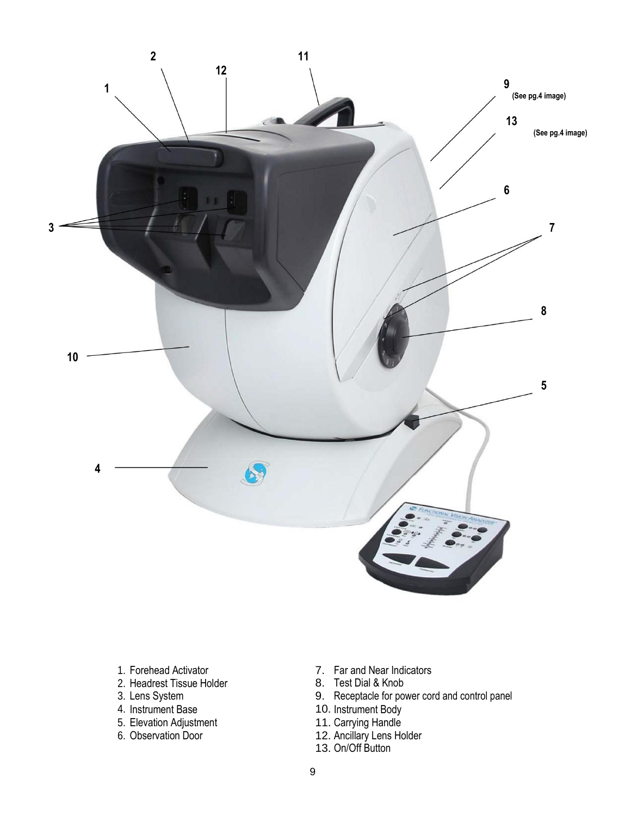

- 
- 2. Headrest Tissue Holder<br>3. Lens System
- 
- 
- 5. Elevation Adjustment 5. Elevation Adjustment<br>
6. Observation Door 12. Ancillary Lens Holder
- 
- 1. Forehead Activator **7.** Far and Near Indicators<br>
2. Headrest Tissue Holder **8.** Test Dial & Knob
	-
- 3. Lens System 9. Receptacle for power cord and control panel<br>4. Instrument Base 10. Instrument Body
	- 10. Instrument Body
	-
	-
	- 13. On/Off Button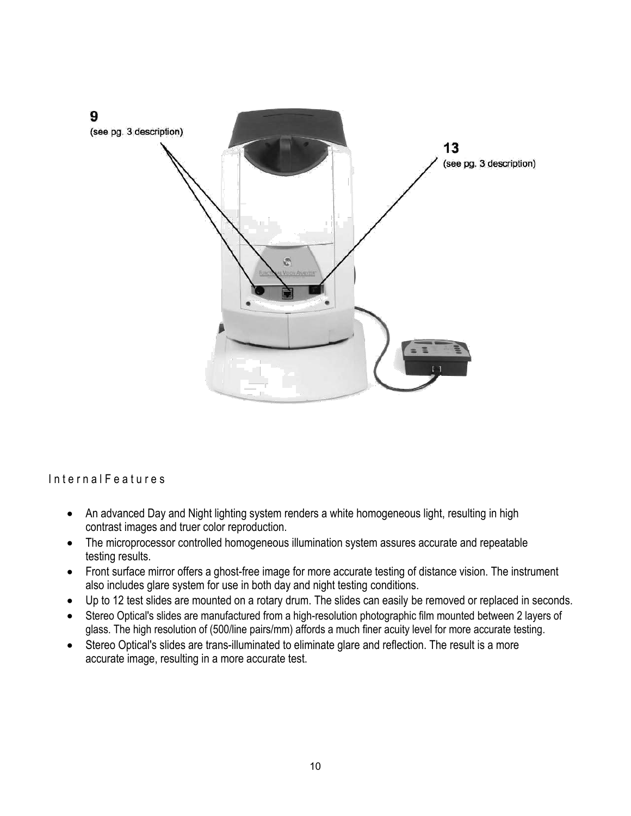

Internal Features

- An advanced Day and Night lighting system renders a white homogeneous light, resulting in high contrast images and truer color reproduction.
- testing results. • The microprocessor controlled homogeneous illumination system assures accurate and repeatable
- Front surface mirror offers a ghost-free image for more accurate testing of distance vision. The instrument also includes glare system for use in both day and night testing conditions.
- Up to 12 test slides are mounted on a rotary drum. The slides can easily be removed or replaced in seconds.
- glass. The high resolution of (500/line pairs/mm) affords a much finer acuity level for more accurate testing. Stereo Optical's slides are manufactured from a high-resolution photographic film mounted between 2 layers of
- Stereo Optical's slides are trans-illuminated to eliminate glare and reflection. The result is a more accurate image, resulting in a more accurate test.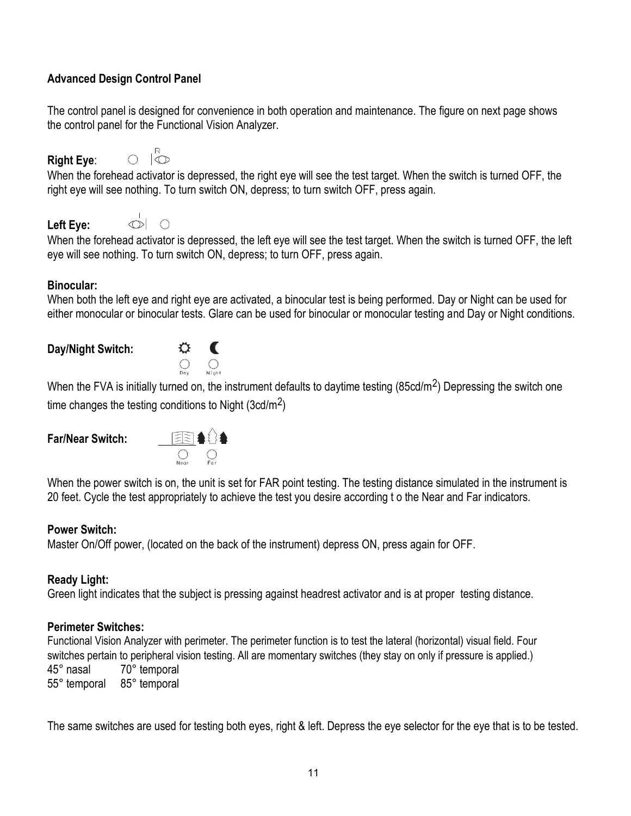#### **Advanced Design Control Panel**

The control panel is designed for convenience in both operation and maintenance. The figure on next page shows the control panel for the Functional Vision Analyzer.

#### **Right Eye**:

 $\overline{\mathbb{Q}}$  $\bigcap$ 

When the forehead activator is depressed, the right eye will see the test target. When the switch is turned OFF, the right eye will see nothing. To turn switch ON, depress; to turn switch OFF, press again.

#### **Left Eye:**



When the forehead activator is depressed, the left eye will see the test target. When the switch is turned OFF, the left eye will see nothing. To turn switch ON, depress; to turn OFF, press again.

#### **Binocular:**

When both the left eye and right eye are activated, a binocular test is being performed. Day or Night can be used for either monocular or binocular tests. Glare can be used for binocular or monocular testing and Day or Night conditions.

#### **Day/Night Switch:**



When the FVA is initially turned on, the instrument defaults to daytime testing (85cd/m<sup>2</sup>) Depressing the switch one time changes the testing conditions to Night (3cd/m<sup>2</sup>)

#### **Far/Near Switch:**



When the power switch is on, the unit is set for FAR point testing. The testing distance simulated in the instrument is 20 feet. Cycle the test appropriately to achieve the test you desire according t o the Near and Far indicators.

#### **Power Switch:**

Master On/Off power, (located on the back of the instrument) depress ON, press again for OFF.

#### **Ready Light:**

Green light indicates that the subject is pressing against headrest activator and is at proper testing distance.

#### **Perimeter Switches:**

Functional Vision Analyzer with perimeter. The perimeter function is to test the lateral (horizontal) visual field. Four switches pertain to peripheral vision testing. All are momentary switches (they stay on only if pressure is applied.) 45° nasal 70° temporal 55° temporal 85° temporal

The same switches are used for testing both eyes, right & left. Depress the eye selector for the eye that is to be tested.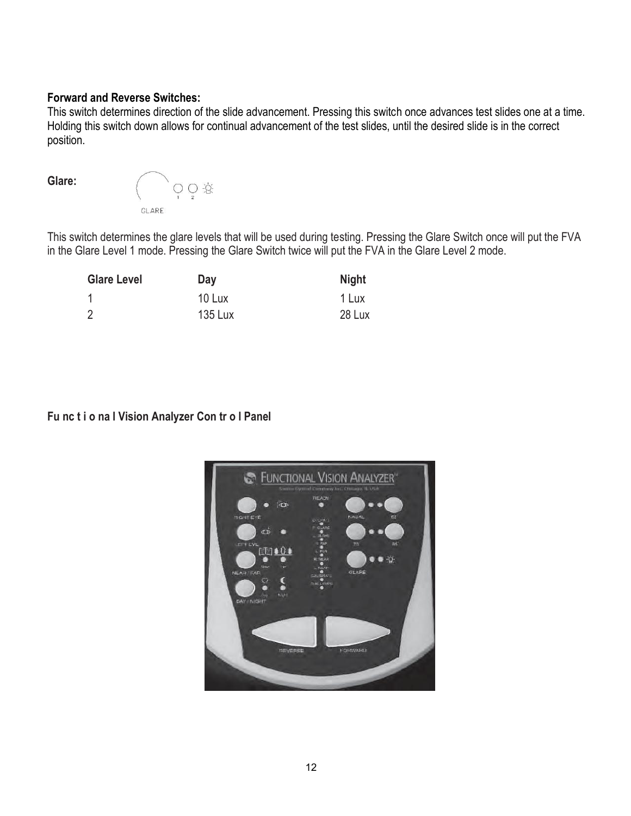#### **Forward and Reverse Switches:**

This switch determines direction of the slide advancement. Pressing this switch once advances test slides one at a time. Holding this switch down allows for continual advancement of the test slides, until the desired slide is in the correct position.

**Glare:** 



This switch determines the glare levels that will be used during testing. Pressing the Glare Switch once will put the FVA in the Glare Level 1 mode. Pressing the Glare Switch twice will put the FVA in the Glare Level 2 mode.

| <b>Glare Level</b> | Day            | <b>Night</b> |
|--------------------|----------------|--------------|
|                    | 10 Lux         | 1 Lux        |
| $\overline{2}$     | <b>135 Lux</b> | 28 Lux       |

**Fu nc t i o na l Vision Analyzer Con tr o l Panel** 

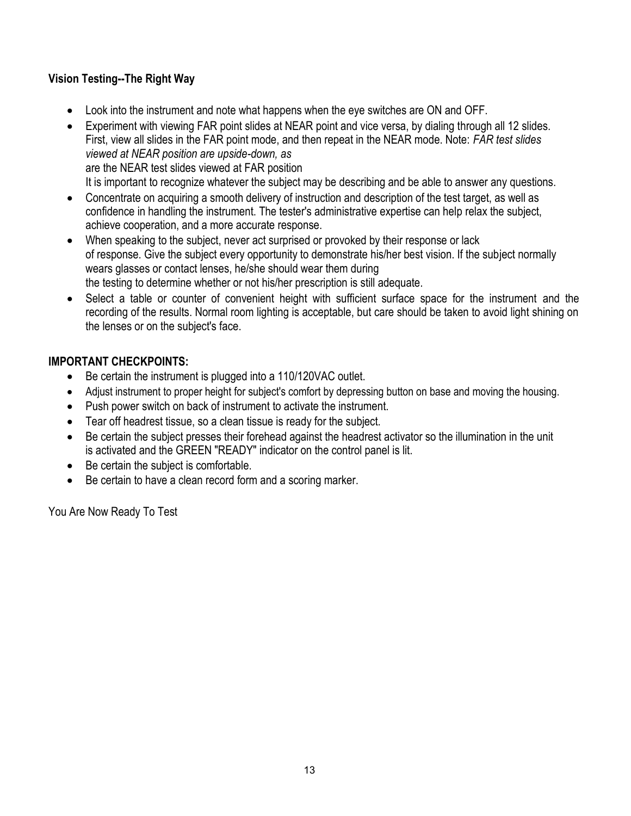#### **Vision Testing--The Right Way**

- Look into the instrument and note what happens when the eye switches are ON and OFF.
- Experiment with viewing FAR point slides at NEAR point and vice versa, by dialing through all 12 slides. First, view all slides in the FAR point mode, and then repeat in the NEAR mode. Note: *FAR test slides viewed at NEAR position are upside-down, as* are the NEAR test slides viewed at FAR position It is important to recognize whatever the subject may be describing and be able to answer any questions.
- Concentrate on acquiring a smooth delivery of instruction and description of the test target, as well as confidence in handling the instrument. The tester's administrative expertise can help relax the subject, achieve cooperation, and a more accurate response.
- When speaking to the subject, never act surprised or provoked by their response or lack of response. Give the subject every opportunity to demonstrate his/her best vision. If the subject normally wears glasses or contact lenses, he/she should wear them during the testing to determine whether or not his/her prescription is still adequate.
- Select a table or counter of convenient height with sufficient surface space for the instrument and the recording of the results. Normal room lighting is acceptable, but care should be taken to avoid light shining on the lenses or on the subject's face.

#### **IMPORTANT CHECKPOINTS:**

- Be certain the instrument is plugged into a 110/120VAC outlet.
- Adjust instrument to proper height for subject's comfort by depressing button on base and moving the housing.
- Push power switch on back of instrument to activate the instrument.
- Tear off headrest tissue, so a clean tissue is ready for the subject.
- Be certain the subject presses their forehead against the headrest activator so the illumination in the unit is activated and the GREEN "READY" indicator on the control panel is lit.
- Be certain the subject is comfortable.
- Be certain to have a clean record form and a scoring marker.

You Are Now Ready To Test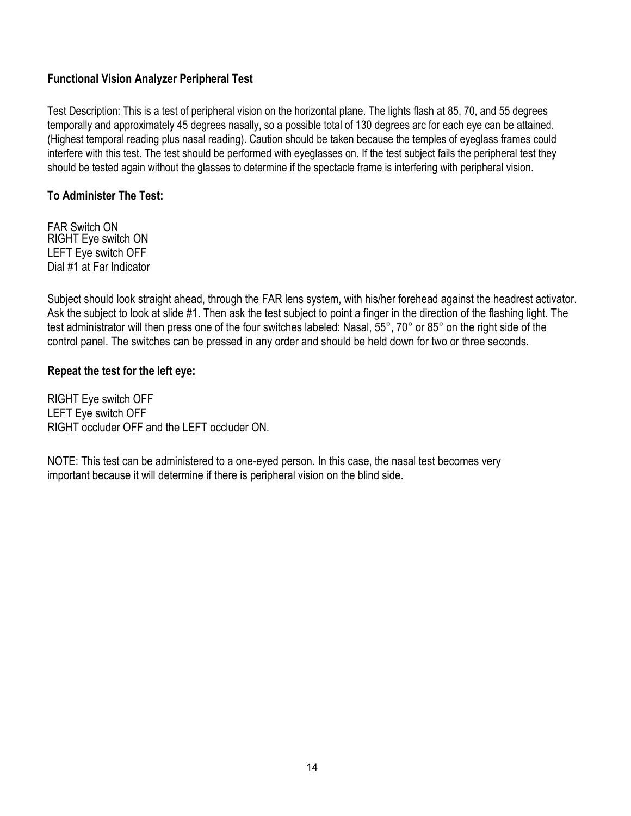#### **Functional Vision Analyzer Peripheral Test**

Test Description: This is a test of peripheral vision on the horizontal plane. The lights flash at 85, 70, and 55 degrees temporally and approximately 45 degrees nasally, so a possible total of 130 degrees arc for each eye can be attained. (Highest temporal reading plus nasal reading). Caution should be taken because the temples of eyeglass frames could interfere with this test. The test should be performed with eyeglasses on. If the test subject fails the peripheral test they should be tested again without the glasses to determine if the spectacle frame is interfering with peripheral vision.

#### **To Administer The Test:**

FAR Switch ON RIGHT Eye switch ON LEFT Eye switch OFF Dial #1 at Far Indicator

Subject should look straight ahead, through the FAR lens system, with his/her forehead against the headrest activator. Ask the subject to look at slide #1. Then ask the test subject to point a finger in the direction of the flashing light. The test administrator will then press one of the four switches labeled: Nasal, 55°, 70° or 85° on the right side of the control panel. The switches can be pressed in any order and should be held down for two or three seconds.

#### **Repeat the test for the left eye:**

RIGHT Eye switch OFF LEFT Eye switch OFF RIGHT occluder OFF and the LEFT occluder ON.

NOTE: This test can be administered to a one-eyed person. In this case, the nasal test becomes very important because it will determine if there is peripheral vision on the blind side.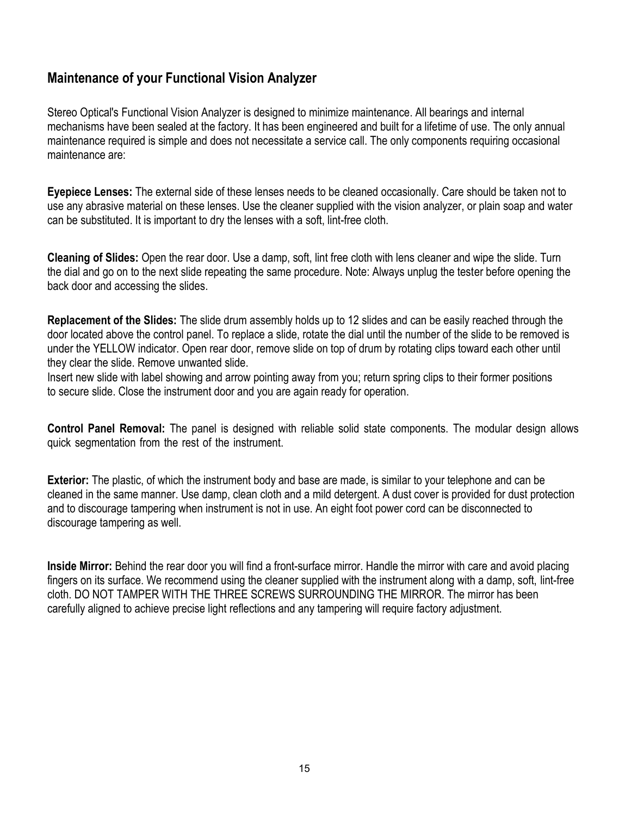#### **Maintenance of your Functional Vision Analyzer**

Stereo Optical's Functional Vision Analyzer is designed to minimize maintenance. All bearings and internal mechanisms have been sealed at the factory. It has been engineered and built for a lifetime of use. The only annual maintenance required is simple and does not necessitate a service call. The only components requiring occasional maintenance are:

**Eyepiece Lenses:** The external side of these lenses needs to be cleaned occasionally. Care should be taken not to use any abrasive material on these lenses. Use the cleaner supplied with the vision analyzer, or plain soap and water can be substituted. It is important to dry the lenses with a soft, lint-free cloth.

**Cleaning of Slides:** Open the rear door. Use a damp, soft, lint free cloth with lens cleaner and wipe the slide. Turn the dial and go on to the next slide repeating the same procedure. Note: Always unplug the tester before opening the back door and accessing the slides.

**Replacement of the Slides:** The slide drum assembly holds up to 12 slides and can be easily reached through the door located above the control panel. To replace a slide, rotate the dial until the number of the slide to be removed is under the YELLOW indicator. Open rear door, remove slide on top of drum by rotating clips toward each other until they clear the slide. Remove unwanted slide.

Insert new slide with label showing and arrow pointing away from you; return spring clips to their former positions to secure slide. Close the instrument door and you are again ready for operation.

**Control Panel Removal:** The panel is designed with reliable solid state components. The modular design allows quick segmentation from the rest of the instrument.

**Exterior:** The plastic, of which the instrument body and base are made, is similar to your telephone and can be cleaned in the same manner. Use damp, clean cloth and a mild detergent. A dust cover is provided for dust protection and to discourage tampering when instrument is not in use. An eight foot power cord can be disconnected to discourage tampering as well.

**Inside Mirror:** Behind the rear door you will find a front-surface mirror. Handle the mirror with care and avoid placing fingers on its surface. We recommend using the cleaner supplied with the instrument along with a damp, soft, lint-free cloth. DO NOT TAMPER WITH THE THREE SCREWS SURROUNDING THE MIRROR. The mirror has been carefully aligned to achieve precise light reflections and any tampering will require factory adjustment.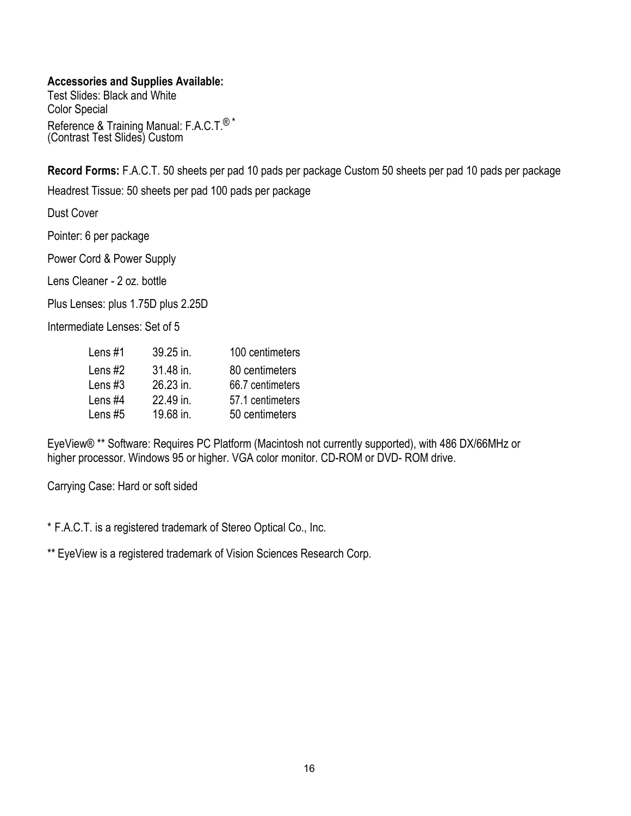#### **Accessories and Supplies Available:**

Test Slides: Black and White Color Special Reference & Training Manual: F.A.C.T.<sup>®\*</sup> (Contrast Test Slides) Custom

**Record Forms:** F.A.C.T. 50 sheets per pad 10 pads per package Custom 50 sheets per pad 10 pads per package

Headrest Tissue: 50 sheets per pad 100 pads per package

Dust Cover

Pointer: 6 per package

Power Cord & Power Supply

Lens Cleaner - 2 oz. bottle

Plus Lenses: plus 1.75D plus 2.25D

Intermediate Lenses: Set of 5

| Lens $#1$ | 39.25 in. | 100 centimeters  |
|-----------|-----------|------------------|
| Lens $#2$ | 31.48 in. | 80 centimeters   |
| Lens $#3$ | 26.23 in. | 66.7 centimeters |
| Lens #4   | 22.49 in. | 57.1 centimeters |
| Lens $#5$ | 19.68 in. | 50 centimeters   |

EyeView® \*\* Software: Requires PC Platform (Macintosh not currently supported), with 486 DX/66MHz or higher processor. Windows 95 or higher. VGA color monitor. CD-ROM or DVD- ROM drive.

Carrying Case: Hard or soft sided

\* F.A.C.T. is a registered trademark of Stereo Optical Co., Inc.

\*\* EyeView is a registered trademark of Vision Sciences Research Corp.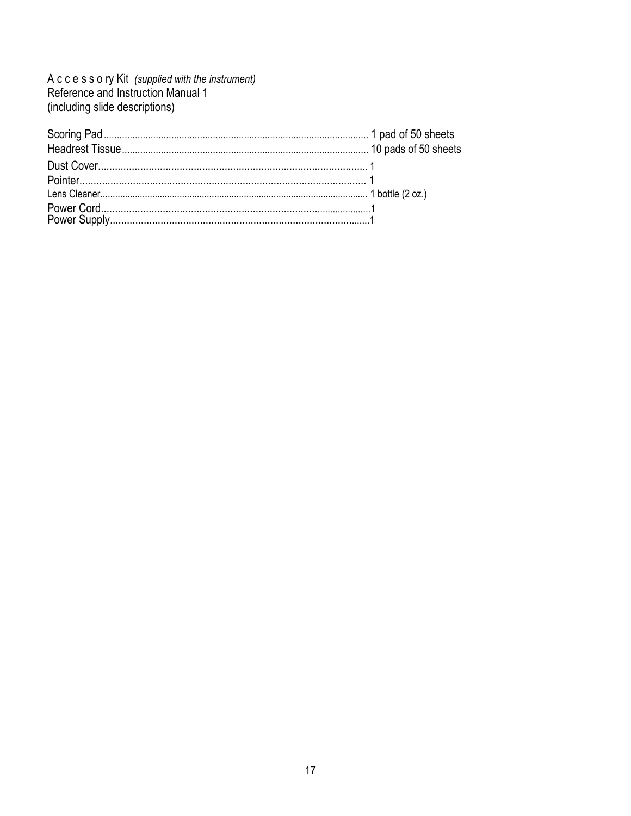A c c e s s o ry Kit (supplied with the instrument)<br>Reference and Instruction Manual 1 (including slide descriptions)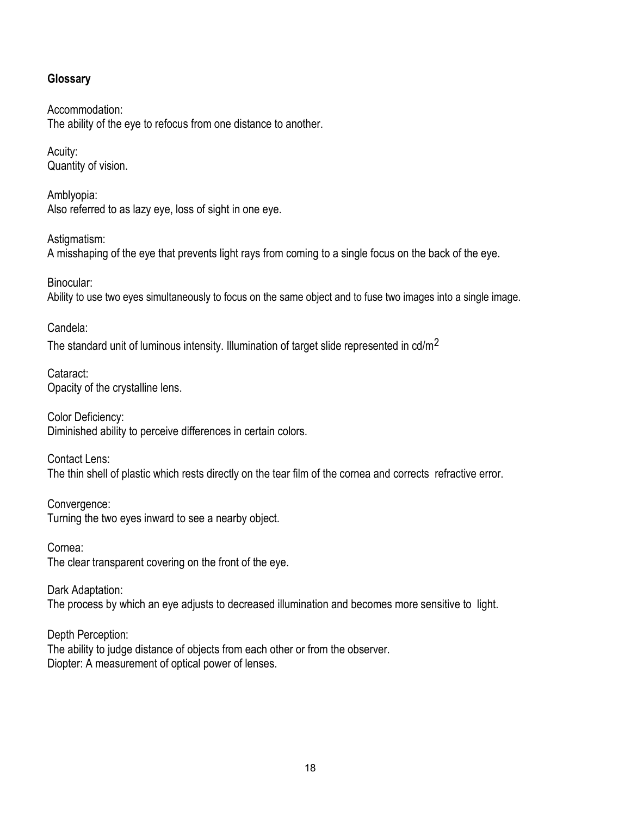#### **Glossary**

Accommodation: The ability of the eye to refocus from one distance to another.

Acuity: Quantity of vision.

Amblyopia: Also referred to as lazy eye, loss of sight in one eye.

Astigmatism: A misshaping of the eye that prevents light rays from coming to a single focus on the back of the eye.

Binocular: Ability to use two eyes simultaneously to focus on the same object and to fuse two images into a single image.

Candela: The standard unit of luminous intensity. Illumination of target slide represented in cd/m<sup>2</sup>

Cataract: Opacity of the crystalline lens.

Color Deficiency: Diminished ability to perceive differences in certain colors.

Contact Lens: The thin shell of plastic which rests directly on the tear film of the cornea and corrects refractive error.

Convergence: Turning the two eyes inward to see a nearby object.

Cornea: The clear transparent covering on the front of the eye.

Dark Adaptation: The process by which an eye adjusts to decreased illumination and becomes more sensitive to light.

Depth Perception: The ability to judge distance of objects from each other or from the observer. Diopter: A measurement of optical power of lenses.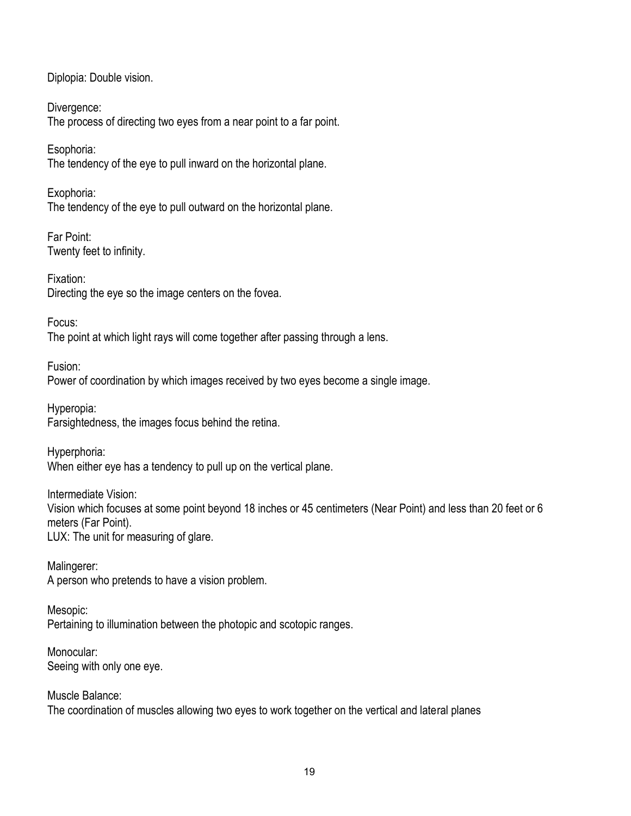Diplopia: Double vision.

Divergence: The process of directing two eyes from a near point to a far point.

Esophoria: The tendency of the eye to pull inward on the horizontal plane.

Exophoria: The tendency of the eye to pull outward on the horizontal plane.

Far Point: Twenty feet to infinity.

Fixation: Directing the eye so the image centers on the fovea.

Focus:

The point at which light rays will come together after passing through a lens.

Fusion: Power of coordination by which images received by two eyes become a single image.

Hyperopia: Farsightedness, the images focus behind the retina.

Hyperphoria: When either eye has a tendency to pull up on the vertical plane.

Intermediate Vision: Vision which focuses at some point beyond 18 inches or 45 centimeters (Near Point) and less than 20 feet or 6 meters (Far Point). LUX: The unit for measuring of glare.

Malingerer: A person who pretends to have a vision problem.

Mesopic: Pertaining to illumination between the photopic and scotopic ranges.

Monocular: Seeing with only one eye.

Muscle Balance: The coordination of muscles allowing two eyes to work together on the vertical and lateral planes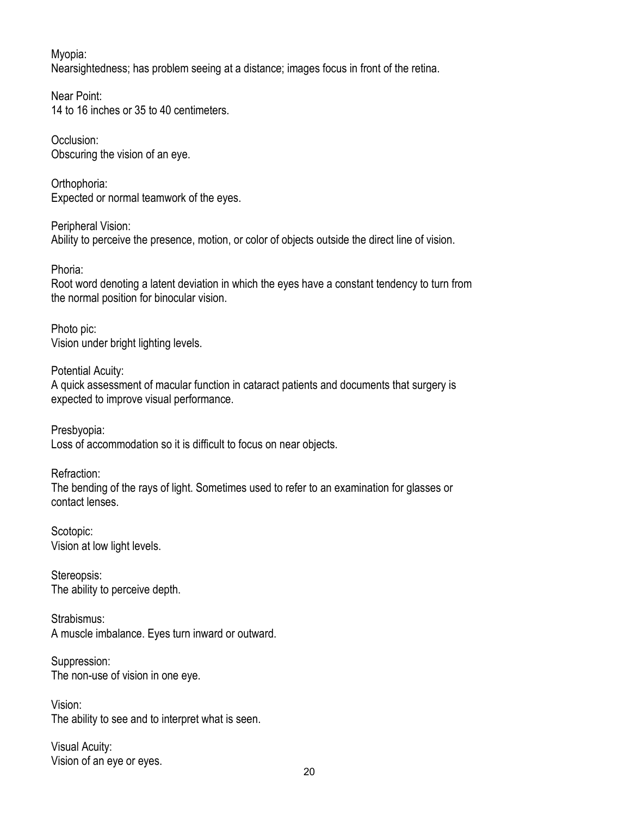Myopia: Nearsightedness; has problem seeing at a distance; images focus in front of the retina.

Near Point: 14 to 16 inches or 35 to 40 centimeters.

Occlusion: Obscuring the vision of an eye.

Orthophoria: Expected or normal teamwork of the eyes.

Peripheral Vision: Ability to perceive the presence, motion, or color of objects outside the direct line of vision.

Phoria:

Root word denoting a latent deviation in which the eyes have a constant tendency to turn from the normal position for binocular vision.

Photo pic: Vision under bright lighting levels.

Potential Acuity: A quick assessment of macular function in cataract patients and documents that surgery is expected to improve visual performance.

Presbyopia: Loss of accommodation so it is difficult to focus on near objects.

Refraction: The bending of the rays of light. Sometimes used to refer to an examination for glasses or contact lenses.

Scotopic: Vision at low light levels.

Stereopsis: The ability to perceive depth.

Strabismus: A muscle imbalance. Eyes turn inward or outward.

Suppression: The non-use of vision in one eye.

Vision: The ability to see and to interpret what is seen.

Visual Acuity: Vision of an eye or eyes.